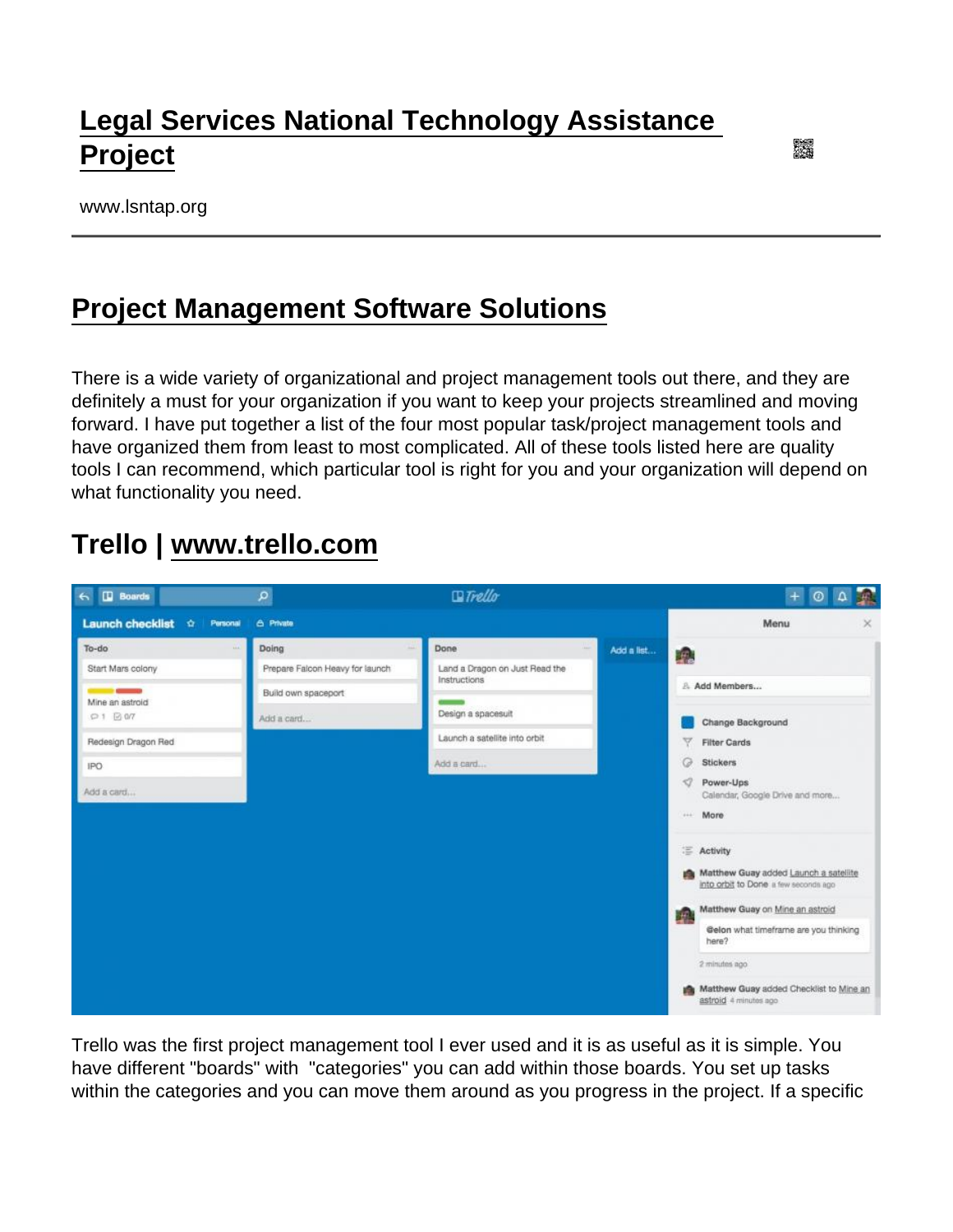# [Legal Services National Technology Assistance](https://www.lsntap.org/)  [Project](https://www.lsntap.org/)

www.lsntap.org

## [Project Management Software Solutions](https://www.lsntap.org/node/241/project-management-software-solutions)

There is a wide variety of organizational and project management tools out there, and they are definitely a must for your organization if you want to keep your projects streamlined and moving forward. I have put together a list of the four most popular task/project management tools and have organized them from least to most complicated. All of these tools listed here are quality tools I can recommend, which particular tool is right for you and your organization will depend on what functionality you need.

#### Trello | [www.trello.com](http://www.trello.com)

Trello was the first project management tool I ever used and it is as useful as it is simple. You have different "boards" with "categories" you can add within those boards. You set up tasks within the categories and you can move them around as you progress in the project. If a specific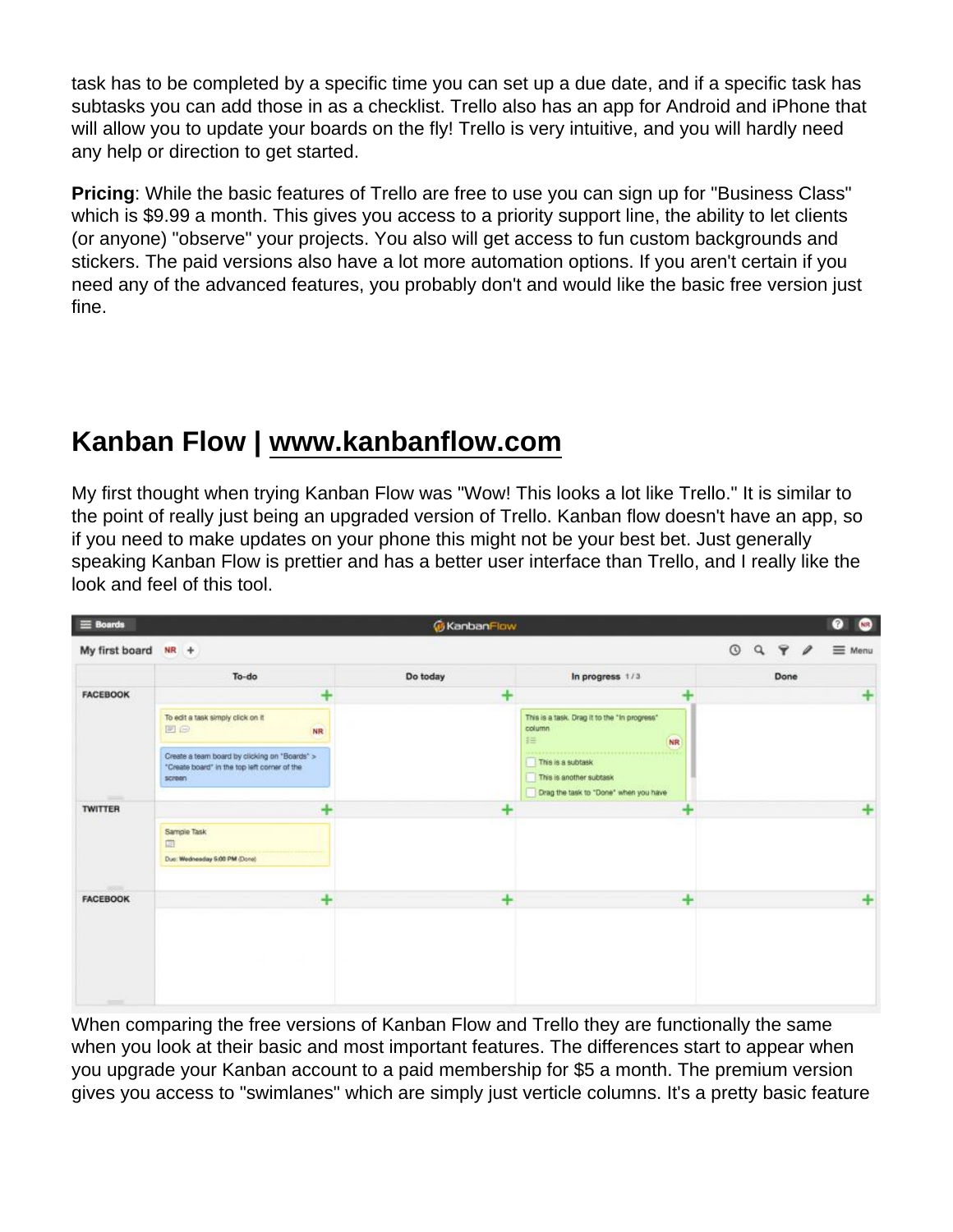task has to be completed by a specific time you can set up a due date, and if a specific task has subtasks you can add those in as a checklist. Trello also has an app for Android and iPhone that will allow you to update your boards on the fly! Trello is very intuitive, and you will hardly need any help or direction to get started.

Pricing : While the basic features of Trello are free to use you can sign up for "Business Class" which is \$9.99 a month. This gives you access to a priority support line, the ability to let clients (or anyone) "observe" your projects. You also will get access to fun custom backgrounds and stickers. The paid versions also have a lot more automation options. If you aren't certain if you need any of the advanced features, you probably don't and would like the basic free version just fine.

## Kanban Flow | [www.kanbanflow.com](http://www.kanbanflow.com)

My first thought when trying Kanban Flow was "Wow! This looks a lot like Trello." It is similar to the point of really just being an upgraded version of Trello. Kanban flow doesn't have an app, so if you need to make updates on your phone this might not be your best bet. Just generally speaking Kanban Flow is prettier and has a better user interface than Trello, and I really like the look and feel of this tool.

When comparing the free versions of Kanban Flow and Trello they are functionally the same when you look at their basic and most important features. The differences start to appear when you upgrade your Kanban account to a paid membership for \$5 a month. The premium version gives you access to "swimlanes" which are simply just verticle columns. It's a pretty basic feature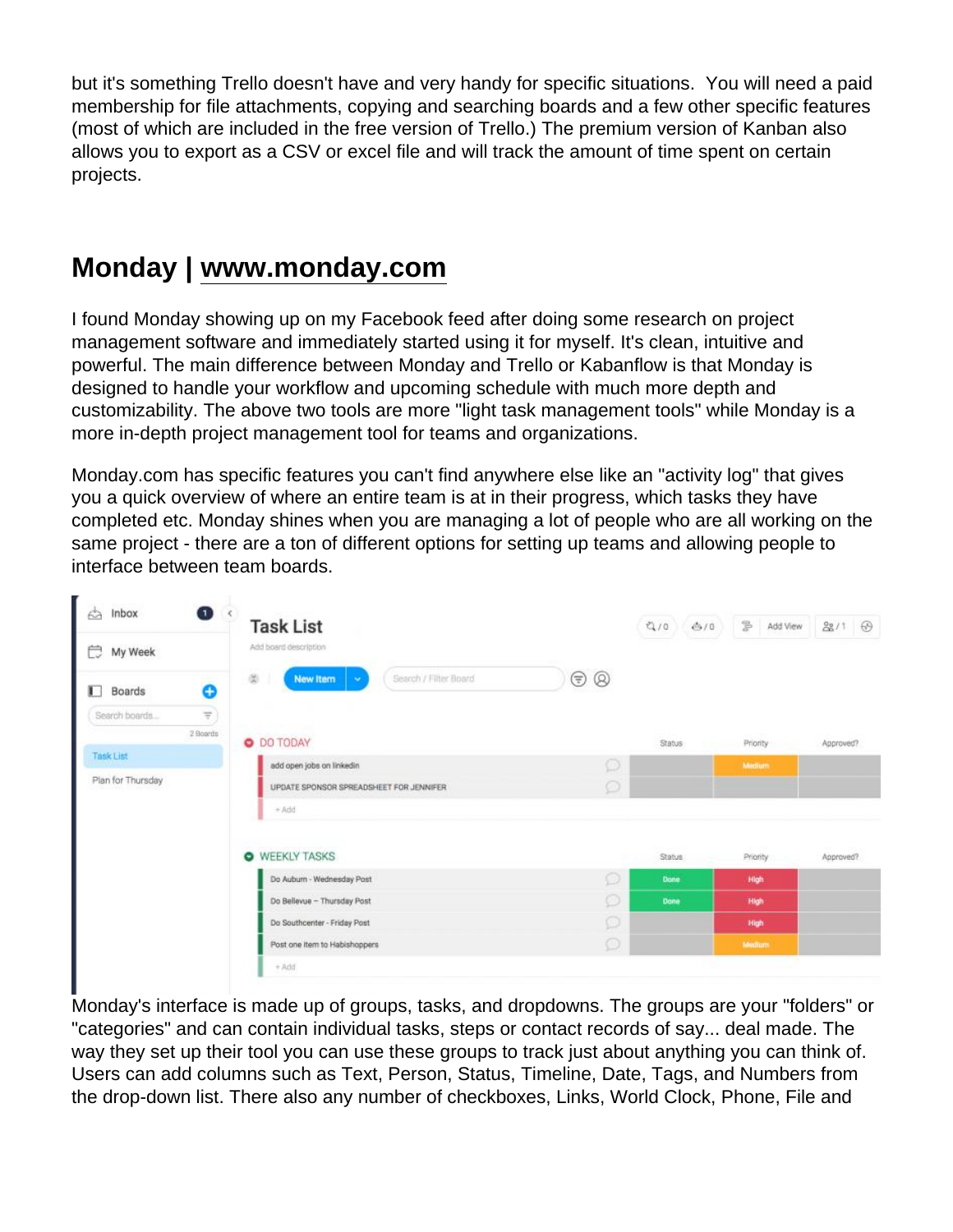but it's something Trello doesn't have and very handy for specific situations. You will need a paid membership for file attachments, copying and searching boards and a few other specific features (most of which are included in the free version of Trello.) The premium version of Kanban also allows you to export as a CSV or excel file and will track the amount of time spent on certain projects.

#### Monday | [www.monday.com](http://www.monday.com)

I found Monday showing up on my Facebook feed after doing some research on project management software and immediately started using it for myself. It's clean, intuitive and powerful. The main difference between Monday and Trello or Kabanflow is that Monday is designed to handle your workflow and upcoming schedule with much more depth and customizability. The above two tools are more "light task management tools" while Monday is a more in-depth project management tool for teams and organizations.

Monday.com has specific features you can't find anywhere else like an "activity log" that gives you a quick overview of where an entire team is at in their progress, which tasks they have completed etc. Monday shines when you are managing a lot of people who are all working on the same project - there are a ton of different options for setting up teams and allowing people to interface between team boards.

Monday's interface is made up of groups, tasks, and dropdowns. The groups are your "folders" or "categories" and can contain individual tasks, steps or contact records of say... deal made. The way they set up their tool you can use these groups to track just about anything you can think of. Users can add columns such as Text, Person, Status, Timeline, Date, Tags, and Numbers from the drop-down list. There also any number of checkboxes, Links, World Clock, Phone, File and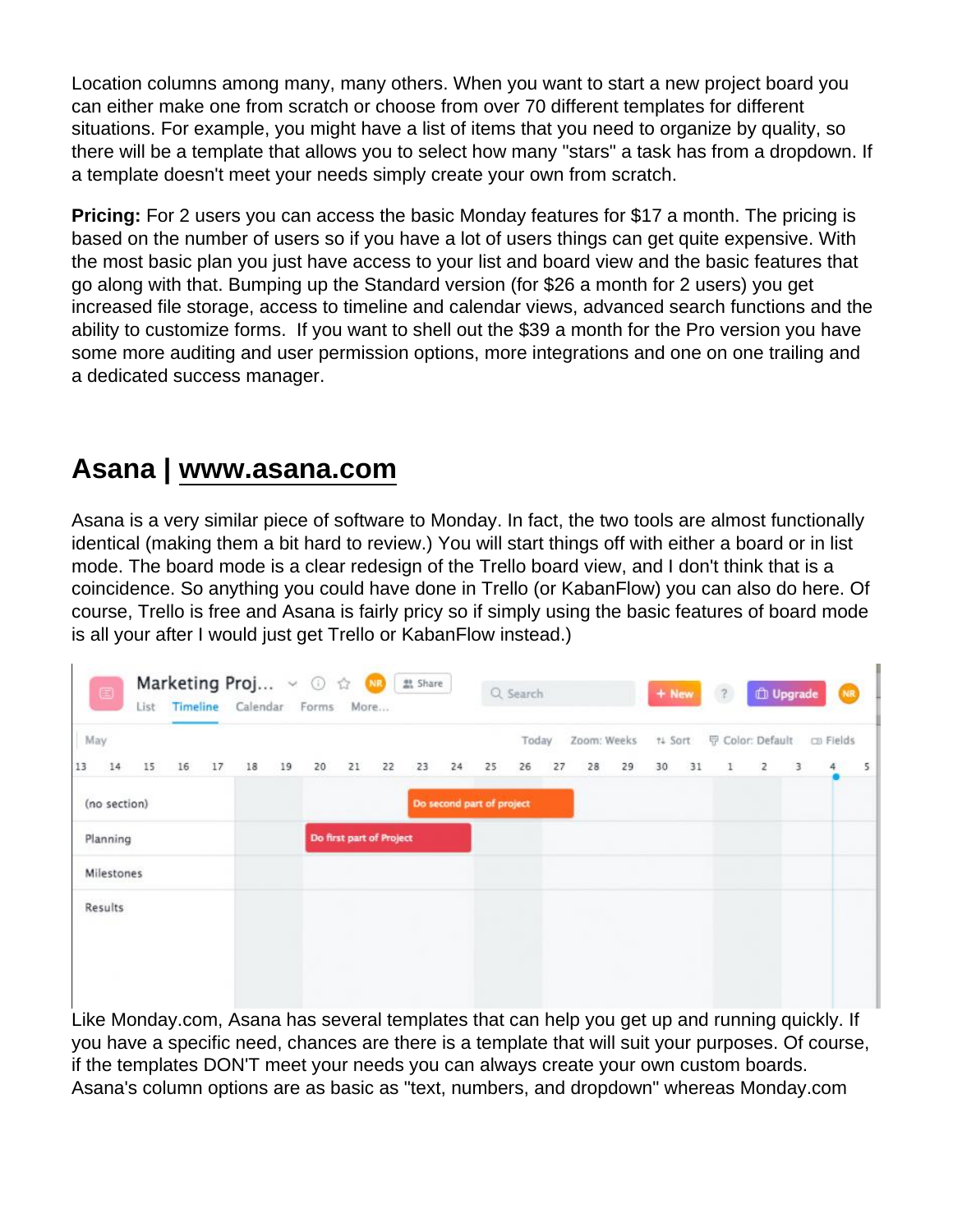Location columns among many, many others. When you want to start a new project board you can either make one from scratch or choose from over 70 different templates for different situations. For example, you might have a list of items that you need to organize by quality, so there will be a template that allows you to select how many "stars" a task has from a dropdown. If a template doesn't meet your needs simply create your own from scratch.

Pricing: For 2 users you can access the basic Monday features for \$17 a month. The pricing is based on the number of users so if you have a lot of users things can get quite expensive. With the most basic plan you just have access to your list and board view and the basic features that go along with that. Bumping up the Standard version (for \$26 a month for 2 users) you get increased file storage, access to timeline and calendar views, advanced search functions and the ability to customize forms. If you want to shell out the \$39 a month for the Pro version you have some more auditing and user permission options, more integrations and one on one trailing and a dedicated success manager.

#### Asana | [www.asana.com](http://www.asana.com)

Asana is a very similar piece of software to Monday. In fact, the two tools are almost functionally identical (making them a bit hard to review.) You will start things off with either a board or in list mode. The board mode is a clear redesign of the Trello board view, and I don't think that is a coincidence. So anything you could have done in Trello (or KabanFlow) you can also do here. Of course, Trello is free and Asana is fairly pricy so if simply using the basic features of board mode is all your after I would just get Trello or KabanFlow instead.)

Like Monday.com, Asana has several templates that can help you get up and running quickly. If you have a specific need, chances are there is a template that will suit your purposes. Of course, if the templates DON'T meet your needs you can always create your own custom boards. Asana's column options are as basic as "text, numbers, and dropdown" whereas Monday.com